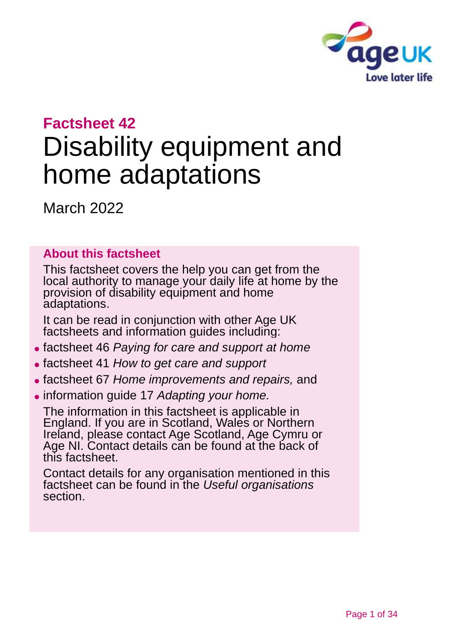

## **Factsheet 42**

# Disability equipment and home adaptations

March 2022

## **About this factsheet**

This factsheet covers the help you can get from the local authority to manage your daily life at home by the provision of disability equipment and home adaptations.

It can be read in conjunction with other Age UK factsheets and information guides including:

- ⚫ factsheet 46 *[Paying for care and support at home](https://www.ageuk.org.uk/globalassets/age-uk/documents/factsheets/fs46_paying_for_care_and_support_at_home_fcs.pdf?dtrk=true)*
- ⚫ factsheet 41 *[How to get care and support](https://www.ageuk.org.uk/globalassets/age-uk/documents/factsheets/fs41_how_to_get_care_and_support_fcs.pdf)*
- ⚫ factsheet 67 *[Home improvements](https://www.ageuk.org.uk/globalassets/age-uk/documents/factsheets/fs67_home_improvements_and_repairs_fcs.pdf) and repairs,* and
- ⚫ information guide 17 *[Adapting your home.](https://www.ageuk.org.uk/globalassets/age-uk/documents/information-guides/ageukig17_adapting_your_home_inf.pdf)*

The information in this factsheet is applicable in England. If you are in Scotland, Wales or Northern Ireland, please contact [Age Scotland, Age Cymru or](#page-32-0)  [Age NI.](#page-32-0) Contact details can be found at the back of this factsheet.

Contact details for any organisation mentioned in this factsheet can be found in the *[Useful organisations](#page-29-0)* section.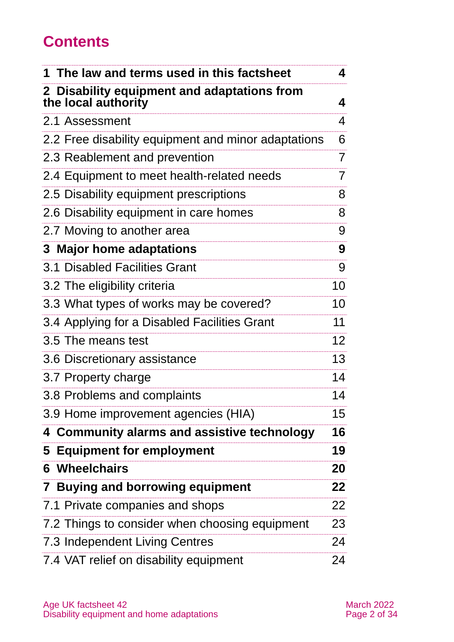## **Contents**

| The law and terms used in this factsheet                           | 4               |
|--------------------------------------------------------------------|-----------------|
| 2 Disability equipment and adaptations from<br>the local authority | 4               |
| 2.1 Assessment                                                     | 4               |
| 2.2 Free disability equipment and minor adaptations                | 6               |
| 2.3 Reablement and prevention                                      | $\overline{7}$  |
| 2.4 Equipment to meet health-related needs                         | 7               |
| 2.5 Disability equipment prescriptions                             | 8               |
| 2.6 Disability equipment in care homes                             | 8               |
| 2.7 Moving to another area                                         | 9               |
| 3 Major home adaptations                                           | 9               |
| 3.1 Disabled Facilities Grant                                      | 9               |
| 3.2 The eligibility criteria                                       | 10              |
| 3.3 What types of works may be covered?                            | 10              |
| 3.4 Applying for a Disabled Facilities Grant                       | 11              |
| 3.5 The means test                                                 | 12 <sup>2</sup> |
| 3.6 Discretionary assistance                                       | 13              |
| 3.7 Property charge                                                | 14              |
| 3.8 Problems and complaints                                        | 14              |
| 3.9 Home improvement agencies (HIA)                                | 15              |
| 4 Community alarms and assistive technology                        | 16              |
| 5 Equipment for employment                                         | 19              |
| Wheelchairs<br>6                                                   | 20              |
| 7 Buying and borrowing equipment                                   | 22              |
| 7.1 Private companies and shops                                    | 22              |
| 7.2 Things to consider when choosing equipment                     | 23              |
| 7.3 Independent Living Centres                                     | 24              |
| 7.4 VAT relief on disability equipment                             | 24              |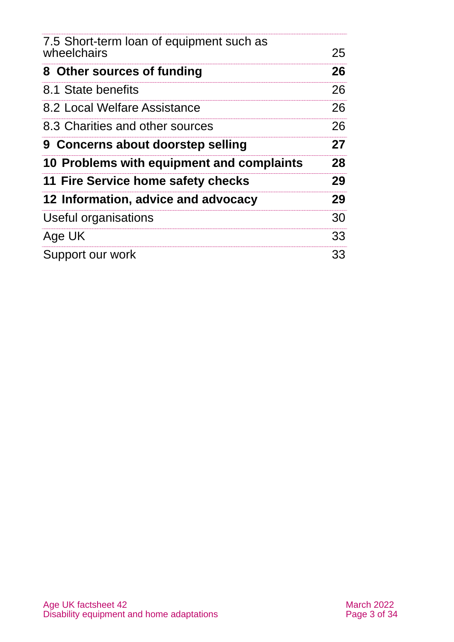| 7.5 Short-term loan of equipment such as<br>wheelchairs | 25 |
|---------------------------------------------------------|----|
| 8 Other sources of funding                              | 26 |
| 8.1 State benefits                                      | 26 |
| 8.2 Local Welfare Assistance                            | 26 |
| 8.3 Charities and other sources                         | 26 |
| 9 Concerns about doorstep selling                       | 27 |
| 10 Problems with equipment and complaints               | 28 |
| 11 Fire Service home safety checks                      | 29 |
| 12 Information, advice and advocacy                     | 29 |
| Useful organisations                                    | 30 |
| Age UK                                                  | 33 |
| Support our work                                        | 33 |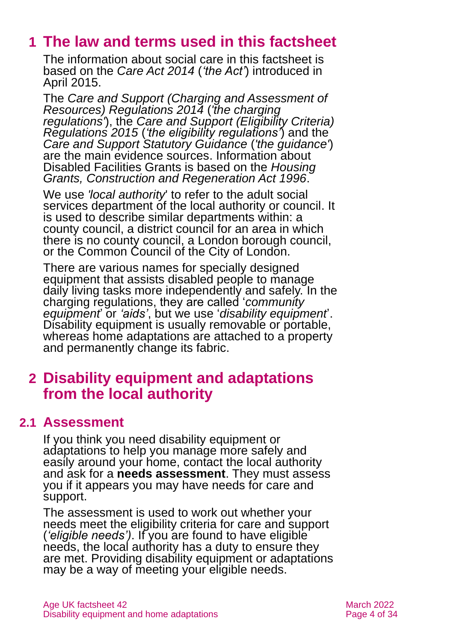## <span id="page-3-0"></span>**1 The law and terms used in this factsheet**

The information about social care in this factsheet is based on the *[Care Act 2014](http://www.legislation.gov.uk/ukpga/2014/23/contents)* (*'the Act'*) introduced in April 2015.

The *[Care and Support \(Charging and Assessment of](http://www.legislation.gov.uk/uksi/2014/2672/contents/made)  [Resources\) Regulations 2014](http://www.legislation.gov.uk/uksi/2014/2672/contents/made)* (*'the charging regulations'*), the *[Care and Support \(Eligibility Criteria\)](http://www.legislation.gov.uk/uksi/2015/313/contents/made)  [Regulations 2015](http://www.legislation.gov.uk/uksi/2015/313/contents/made)* (*'the eligibility regulations'*) and the *[Care and Support Statutory Guidance](https://www.gov.uk/government/publications/care-act-statutory-guidance/care-and-support-statutory-guidance)* (*'the guidance'*) are the main evidence sources. Information about Disabled Facilities Grants is based on the *[Housing](http://www.legislation.gov.uk/ukpga/1996/53/contents)  [Grants, Construction and Regeneration Act 1996](http://www.legislation.gov.uk/ukpga/1996/53/contents)*.

We use *'local authority*' to refer to the adult social services department of the local authority or council. It is used to describe similar departments within: a county council, a district council for an area in which there is no county council, a London borough council, or the Common Council of the City of London.

There are various names for specially designed equipment that assists disabled people to manage daily living tasks more independently and safely. In the charging regulations, they are called '*community equipment*' or *'aids'*, but we use '*disability equipment*'. Disability equipment is usually removable or portable, whereas home adaptations are attached to a property and permanently change its fabric.

## <span id="page-3-1"></span>**2 Disability equipment and adaptations from the local authority**

## **2.1 Assessment**

If you think you need disability equipment or adaptations to help you manage more safely and easily around your home, contact the local authority and ask for a **needs assessment**. They must assess you if it appears you may have needs for care and support.

The assessment is used to work out whether your needs meet the eligibility criteria for care and support (*'eligible needs')*. If you are found to have eligible needs, the local authority has a duty to ensure they are met. Providing disability equipment or adaptations may be a way of meeting your eligible needs.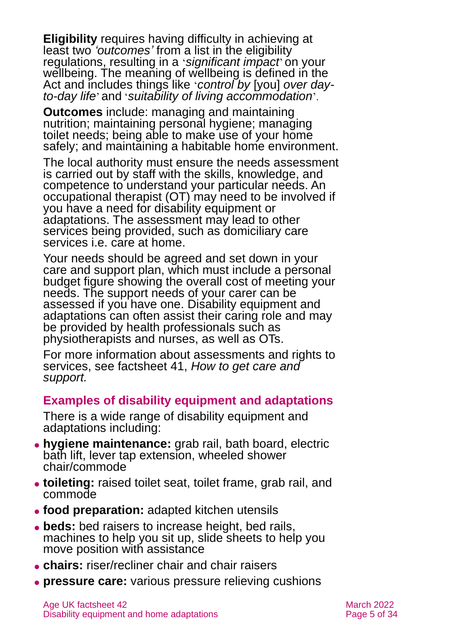**Eligibility** requires having difficulty in achieving at least two *'outcomes'* from a list in the eligibility regulations, resulting in a '*significant impact*' on your wellbeing. The meaning of wellbeing is defined in the Act and includes things like '*control by* [you] *over dayto-day life*' and '*suitability of living accommodation*'.

**Outcomes** include: managing and maintaining nutrition; maintaining personal hygiene; managing toilet needs; being able to make use of your home safely; and maintaining a habitable home environment.

The local authority must ensure the needs assessment is carried out by staff with the skills, knowledge, and competence to understand your particular needs. An occupational therapist (OT) may need to be involved if you have a need for disability equipment or adaptations. The assessment may lead to other services being provided, such as domiciliary care services i.e. care at home.

Your needs should be agreed and set down in your care and support plan, which must include a personal budget figure showing the overall cost of meeting your needs. The support needs of your carer can be assessed if you have one. Disability equipment and adaptations can often assist their caring role and may be provided by health professionals such as physiotherapists and nurses, as well as OTs.

For more information about assessments and rights to services, see factsheet 41, *[How to get care and](https://www.ageuk.org.uk/globalassets/age-uk/documents/factsheets/fs41_how_to_get_care_and_support_fcs.pdf)  [support.](https://www.ageuk.org.uk/globalassets/age-uk/documents/factsheets/fs41_how_to_get_care_and_support_fcs.pdf)*

### **Examples of disability equipment and adaptations**

There is a wide range of disability equipment and adaptations including:

- ⚫ **hygiene maintenance:** grab rail, bath board, electric bath lift, lever tap extension, wheeled shower chair/commode
- ⚫ **toileting:** raised toilet seat, toilet frame, grab rail, and commode
- ⚫ **food preparation:** adapted kitchen utensils
- ⚫ **beds:** bed raisers to increase height, bed rails, machines to help you sit up, slide sheets to help you move position with assistance
- ⚫ **chairs:** riser/recliner chair and chair raisers
- ⚫ **pressure care:** various pressure relieving cushions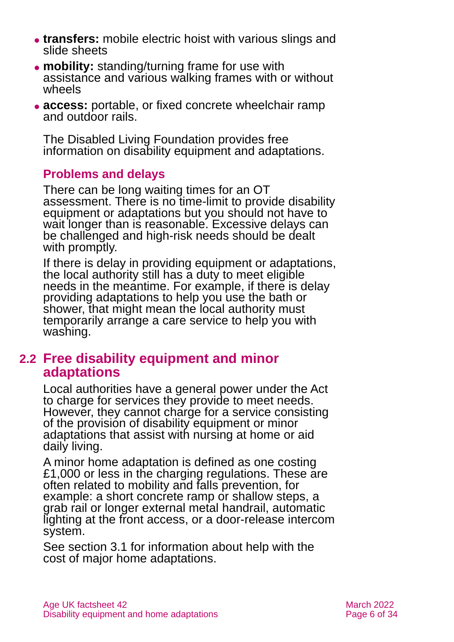- ⚫ **transfers:** mobile electric hoist with various slings and slide sheets
- ⚫ **mobility:** standing/turning frame for use with assistance and various walking frames with or without wheels
- ⚫ **access:** portable, or fixed concrete wheelchair ramp and outdoor rails.

The [Disabled Living Foundation](https://www.dlf.org.uk/) provides [free](http://www.dlf.org.uk/content/full-list-factsheets)  [information on disability equipment](http://www.dlf.org.uk/content/full-list-factsheets) and adaptations.

### **Problems and delays**

There can be long waiting times for an OT assessment. There is no time-limit to provide disability equipment or adaptations but you should not have to wait longer than is reasonable. Excessive delays can be challenged and high-risk needs should be dealt with promptly.

If there is delay in providing equipment or adaptations, the local authority still has a duty to meet eligible needs in the meantime. For example, if there is delay providing adaptations to help you use the bath or shower, that might mean the local authority must temporarily arrange a care service to help you with washing.

## **2.2 Free disability equipment and minor adaptations**

Local authorities have a general power under the Act to charge for services they provide to meet needs. However, they cannot charge for a service consisting of the provision of disability equipment or minor adaptations that assist with nursing at home or aid daily living.

A minor home adaptation is defined as one costing £1,000 or less in the charging regulations. These are often related to mobility and falls prevention, for example: a short concrete ramp or shallow steps, a grab rail or longer external metal handrail, automatic lighting at the front access, or a door-release intercom system.

See [section 3.1](#page-8-1) for information about help with the cost of major home adaptations.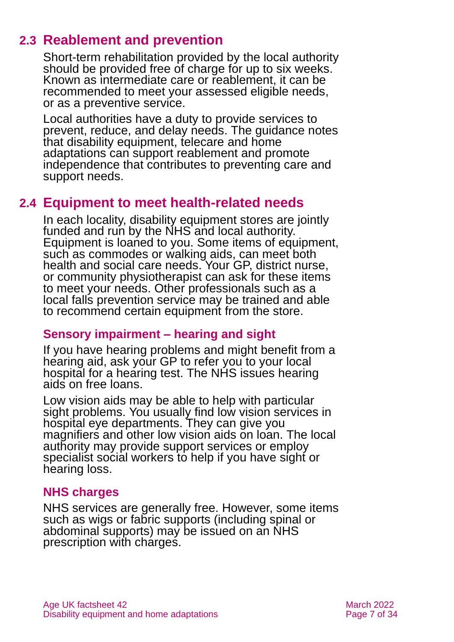## **2.3 Reablement and prevention**

Short-term rehabilitation provided by the local authority should be provided free of charge for up to six weeks. Known as intermediate care or reablement, it can be recommended to meet your assessed eligible needs, or as a preventive service.

Local authorities have a duty to provide services to prevent, reduce, and delay needs. The guidance notes that disability equipment, telecare and home adaptations can support reablement and promote independence that contributes to preventing care and support needs.

## <span id="page-6-0"></span>**2.4 Equipment to meet health-related needs**

In each locality, disability equipment stores are jointly funded and run by the NHS and local authority. Equipment is loaned to you. Some items of equipment, such as commodes or walking aids, can meet both health and social care needs. Your GP, district nurse, or community physiotherapist can ask for these items to meet your needs. Other professionals such as a local falls prevention service may be trained and able to recommend certain equipment from the store.

## **Sensory impairment – hearing and sight**

If you have hearing problems and might benefit from a hearing aid, ask your GP to refer you to your local hospital for a hearing test. The NHS issues hearing aids on free loans.

Low vision aids may be able to help with particular sight problems. You usually find low vision services in hospital eye departments. They can give you magnifiers and other low vision aids on loan. The local authority may provide support services or employ specialist social workers to help if you have sight or hearing loss.

## **NHS charges**

NHS services are generally free. However, some items such as wigs or fabric supports (including spinal or abdominal supports) may be issued on an NHS prescription with charges.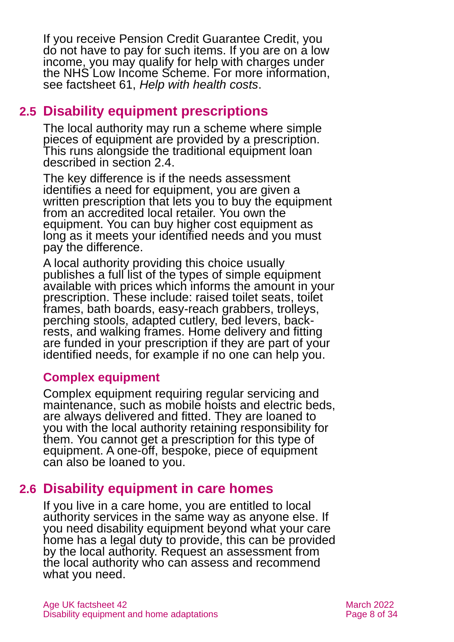If you receive Pension Credit Guarantee Credit, you do not have to pay for such items. If you are on a low income, you may qualify for help with charges under the NHS Low Income Scheme. For more information, see factsheet 61, *[Help with health costs](https://www.ageuk.org.uk/globalassets/age-uk/documents/factsheets/fs61_help_with_health_costs_fcs.pdf)*.

## <span id="page-7-0"></span>**2.5 Disability equipment prescriptions**

The local authority may run a scheme where simple pieces of equipment are provided by a prescription. This runs alongside the traditional equipment loan described in [section 2.4.](#page-6-0)

The key difference is if the needs assessment identifies a need for equipment, you are given a written prescription that lets you to buy the equipment from an accredited local retailer. You own the equipment. You can buy higher cost equipment as long as it meets your identified needs and you must pay the difference.

A local authority providing this choice usually publishes a full list of the types of simple equipment available with prices which informs the amount in your prescription. These include: raised toilet seats, toilet frames, bath boards, easy-reach grabbers, trolleys, perching stools, adapted cutlery, bed levers, backrests, and walking frames. Home delivery and fitting are funded in your prescription if they are part of your identified needs, for example if no one can help you.

### **Complex equipment**

Complex equipment requiring regular servicing and maintenance, such as mobile hoists and electric beds, are always delivered and fitted. They are loaned to you with the local authority retaining responsibility for them. You cannot get a prescription for this type of equipment. A one-off, bespoke, piece of equipment can also be loaned to you.

## **2.6 Disability equipment in care homes**

If you live in a care home, you are entitled to local authority services in the same way as anyone else. If you need disability equipment beyond what your care home has a legal duty to provide, this can be provided by the local authority. Request an assessment from the local authority who can assess and recommend what you need.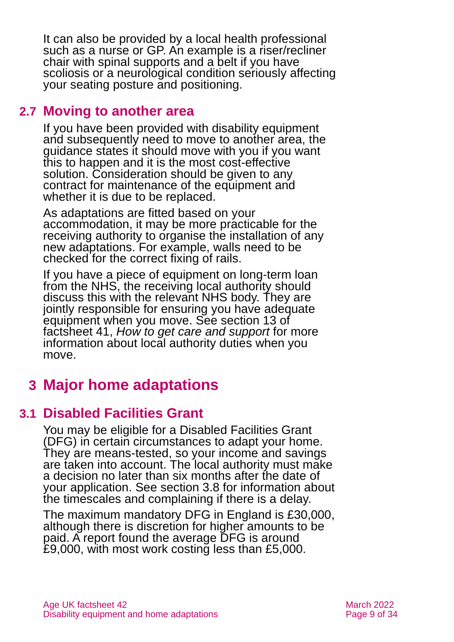It can also be provided by a local health professional such as a nurse or GP. An example is a riser/recliner chair with spinal supports and a belt if you have scoliosis or a neurological condition seriously affecting your seating posture and positioning.

## **2.7 Moving to another area**

If you have been provided with disability equipment and subsequently need to move to another area, the guidance states it should move with you if you want this to happen and it is the most cost-effective solution. Consideration should be given to any contract for maintenance of the equipment and whether it is due to be replaced.

As adaptations are fitted based on your accommodation, it may be more practicable for the receiving authority to organise the installation of any new adaptations. For example, walls need to be checked for the correct fixing of rails.

If you have a piece of equipment on long-term loan from the NHS, the receiving local authority should discuss this with the relevant NHS body. They are jointly responsible for ensuring you have adequate equipment when you move. See section 13 of factsheet 41, *[How to get care and support](https://www.ageuk.org.uk/globalassets/age-uk/documents/factsheets/fs41_how_to_get_care_and_support_fcs.pdf)* for more information about local authority duties when you move.

## <span id="page-8-1"></span><span id="page-8-0"></span>**3 Major home adaptations**

## **3.1 Disabled Facilities Grant**

You may be eligible for a Disabled Facilities Grant (DFG) in certain circumstances to adapt your home. They are means-tested, so your income and savings are taken into account. The local authority must make a decision no later than six months after the date of your application. See [section 3.8](#page-13-0) for information about the timescales and complaining if there is a delay.

The maximum mandatory DFG in England is £30,000, although there is discretion for higher amounts to be paid. A report found the average DFG is around £9,000, with most work costing less than £5,000.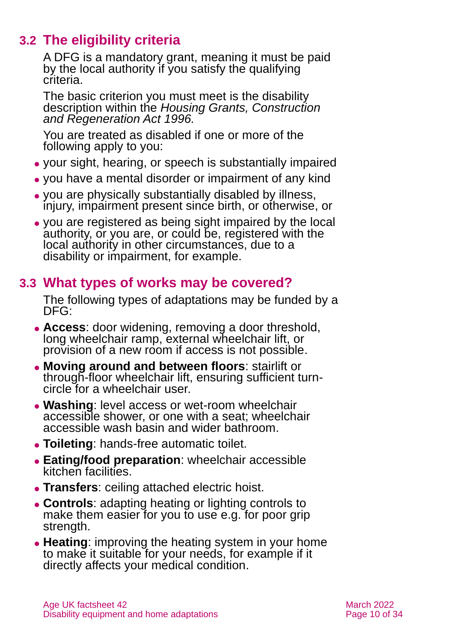## **3.2 The eligibility criteria**

A DFG is a mandatory grant, meaning it must be paid by the local authority if you satisfy the qualifying criteria.

The basic criterion you must meet is the disability description within the *Housing Grants, Construction and Regeneration Act 1996.*

You are treated as disabled if one or more of the following apply to you:

- ⚫ your sight, hearing, or speech is substantially impaired
- ⚫ you have a mental disorder or impairment of any kind
- ⚫ you are physically substantially disabled by illness, injury, impairment present since birth, or otherwise, or
- ⚫ you are registered as being sight impaired by the local authority, or you are, or could be, registered with the local authority in other circumstances, due to a disability or impairment, for example.

## **3.3 What types of works may be covered?**

The following types of adaptations may be funded by a DFG:

- ⚫ **Access**: door widening, removing a door threshold, long wheelchair ramp, external wheelchair lift, or provision of a new room if access is not possible.
- ⚫ **Moving around and between floors**: stairlift or through-floor wheelchair lift, ensuring sufficient turncircle for a wheelchair user.
- ⚫ **Washing**: level access or wet-room wheelchair accessible shower, or one with a seat; wheelchair accessible wash basin and wider bathroom.
- ⚫ **Toileting**: hands-free automatic toilet.
- ⚫ **Eating/food preparation**: wheelchair accessible kitchen facilities.
- ⚫ **Transfers**: ceiling attached electric hoist.
- ⚫ **Controls**: adapting heating or lighting controls to make them easier for you to use e.g. for poor grip strength.
- ⚫ **Heating**: improving the heating system in your home to make it suitable for your needs, for example if it directly affects your medical condition.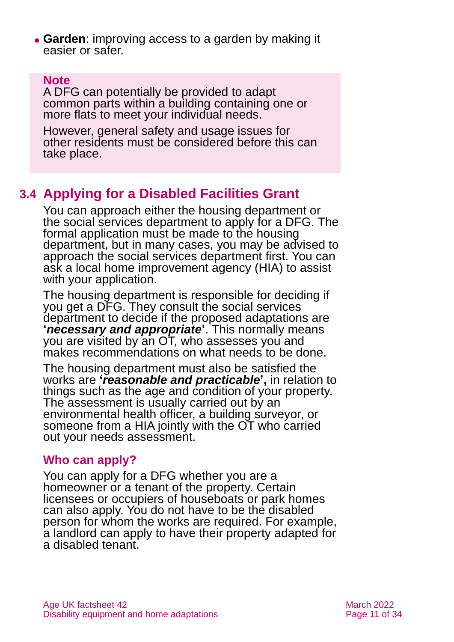⚫ **Garden**: improving access to a garden by making it easier or safer.

### **Note**

A DFG can potentially be provided to adapt common parts within a building containing one or more flats to meet your individual needs.

However, general safety and usage issues for other residents must be considered before this can take place.

## **3.4 Applying for a Disabled Facilities Grant**

You can approach either the housing department or the social services department to apply for a DFG. The formal application must be made to the housing department, but in many cases, you may be advised to approach the social services department first. You can ask a local home improvement agency (HIA) to assist with your application.

The housing department is responsible for deciding if you get a DFG. They consult the social services department to decide if the proposed adaptations are **'***necessary and appropriate***'**. This normally means you are visited by an OT, who assesses you and makes recommendations on what needs to be done.

The housing department must also be satisfied the works are **'***reasonable and practicable***' ,** in relation to things such as the age and condition of your property. The assessment is usually carried out by an environmental health officer, a building surveyor, or someone from a HIA jointly with the OT who carried out your needs assessment.

## **Who can apply?**

You can apply for a DFG whether you are a homeowner or a tenant of the property. Certain licensees or occupiers of houseboats or park homes can also apply. You do not have to be the disabled person for whom the works are required. For example, a landlord can apply to have their property adapted for a disabled tenant.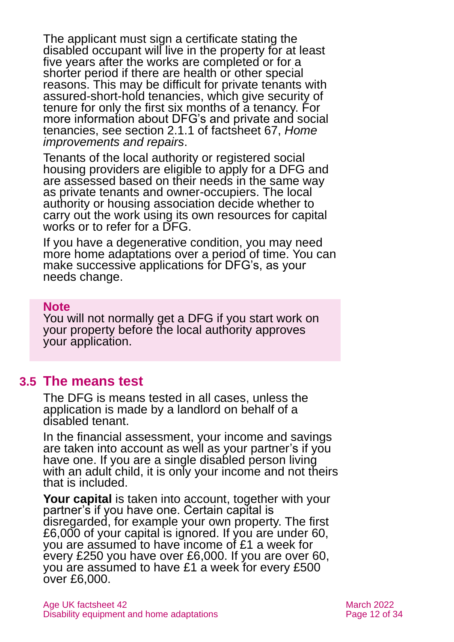The applicant must sign a certificate stating the disabled occupant will live in the property for at least five years after the works are completed or for a shorter period if there are health or other special reasons. This may be difficult for private tenants with assured-short-hold tenancies, which give security of tenure for only the first six months of a tenancy. For more information about DFG's and private and social tenancies, see section 2.1.1 of factsheet 67, *[Home](https://www.ageuk.org.uk/globalassets/age-uk/documents/factsheets/fs67_home_improvements_and_repairs_fcs.pdf)  [improvements and repairs](https://www.ageuk.org.uk/globalassets/age-uk/documents/factsheets/fs67_home_improvements_and_repairs_fcs.pdf)*.

Tenants of the local authority or registered social housing providers are eligible to apply for a DFG and are assessed based on their needs in the same way as private tenants and owner-occupiers. The local authority or housing association decide whether to carry out the work using its own resources for capital works or to refer for a DFG.

If you have a degenerative condition, you may need more home adaptations over a period of time. You can make successive applications for DFG's, as your needs change.

#### **Note**

You will not normally get a DFG if you start work on your property before the local authority approves your application.

### **3.5 The means test**

The DFG is means tested in all cases, unless the application is made by a landlord on behalf of a disabled tenant.

In the financial assessment, your income and savings are taken into account as well as your partner's if you have one. If you are a single disabled person living with an adult child, it is only your income and not theirs that is included.

**Your capital** is taken into account, together with your partner's if you have one. Certain capital is disregarded, for example your own property. The first £6,000 of your capital is ignored. If you are under 60, you are assumed to have income of £1 a week for every £250 you have over £6,000. If you are over 60, you are assumed to have £1 a week for every £500 over £6,000.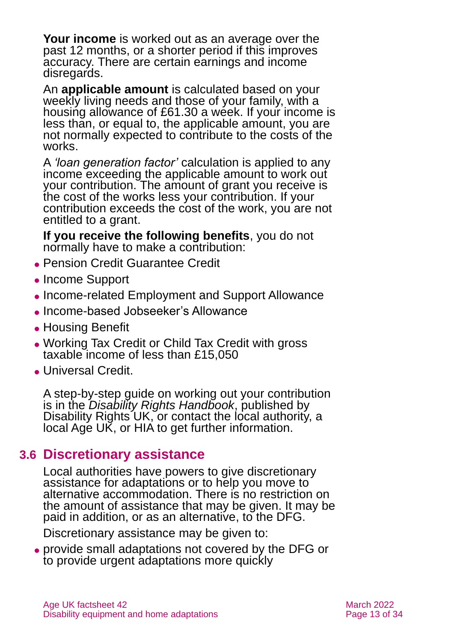**Your income** is worked out as an average over the past 12 months, or a shorter period if this improves accuracy. There are certain earnings and income disregards.

An **applicable amount** is calculated based on your weekly living needs and those of your family, with a housing allowance of £61.30 a week. If your income is less than, or equal to, the applicable amount, you are not normally expected to contribute to the costs of the works.

A *'loan generation factor'* calculation is applied to any income exceeding the applicable amount to work out your contribution. The amount of grant you receive is the cost of the works less your contribution. If your contribution exceeds the cost of the work, you are not entitled to a grant.

**If you receive the following benefits**, you do not normally have to make a contribution:

- ⚫ Pension Credit Guarantee Credit
- ⚫ Income Support
- Income-related Employment and Support Allowance
- ⚫ Income-based Jobseeker's Allowance
- Housing Benefit
- ⚫ Working Tax Credit or Child Tax Credit with gross taxable income of less than £15,050
- ⚫ Universal Credit.

A step-by-step guide on working out your contribution is in the *Disability Rights Handbook*, published by Disability Rights UK, or contact the local authority, a local Age UK, or HIA to get further information.

## **3.6 Discretionary assistance**

Local authorities have powers to give discretionary assistance for adaptations or to help you move to alternative accommodation. There is no restriction on the amount of assistance that may be given. It may be paid in addition, or as an alternative, to the DFG.

Discretionary assistance may be given to:

⚫ provide small adaptations not covered by the DFG or to provide urgent adaptations more quickly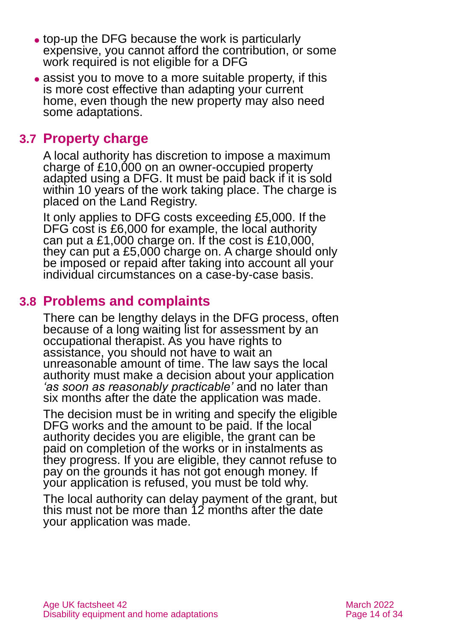- ⚫ top-up the DFG because the work is particularly expensive, you cannot afford the contribution, or some work required is not eligible for a DFG
- assist you to move to a more suitable property, if this is more cost effective than adapting your current home, even though the new property may also need some adaptations.

## **3.7 Property charge**

A local authority has discretion to impose a maximum charge of £10,000 on an owner-occupied property adapted using a DFG. It must be paid back if it is sold within 10 years of the work taking place. The charge is placed on the Land Registry.

It only applies to DFG costs exceeding £5,000. If the DFG cost is £6,000 for example, the local authority can put a £1,000 charge on. If the cost is £10,000, they can put a £5,000 charge on. A charge should only be imposed or repaid after taking into account all your individual circumstances on a case-by-case basis.

## <span id="page-13-0"></span>**3.8 Problems and complaints**

There can be lengthy delays in the DFG process, often because of a long waiting list for assessment by an occupational therapist. As you have rights to assistance, you should not have to wait an unreasonable amount of time. The law says the local authority must make a decision about your application *'as soon as reasonably practicable'* and no later than six months after the date the application was made.

The decision must be in writing and specify the eligible DFG works and the amount to be paid. If the local authority decides you are eligible, the grant can be paid on completion of the works or in instalments as they progress. If you are eligible, they cannot refuse to pay on the grounds it has not got enough money. If your application is refused, you must be told why.

The local authority can delay payment of the grant, but this must not be more than 12 months after the date your application was made.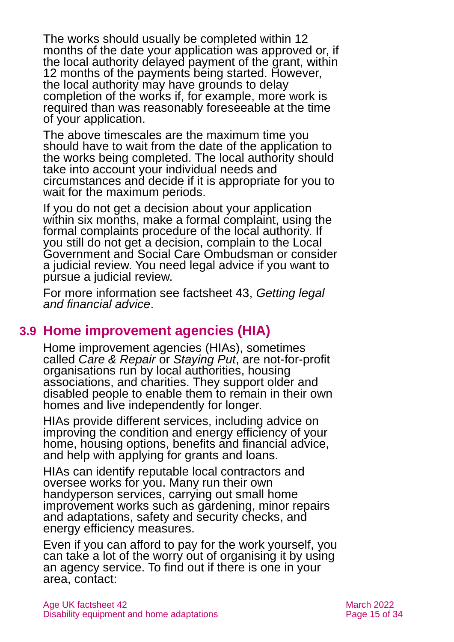The works should usually be completed within 12 months of the date your application was approved or, if the local authority delayed payment of the grant, within 12 months of the payments being started. However, the local authority may have grounds to delay completion of the works if, for example, more work is required than was reasonably foreseeable at the time of your application.

The above timescales are the maximum time you should have to wait from the date of the application to the works being completed. The local authority should take into account your individual needs and circumstances and decide if it is appropriate for you to wait for the maximum periods.

If you do not get a decision about your application within six months, make a formal complaint, using the formal complaints procedure of the local authority. If you still do not get a decision, complain to the Local Government and Social Care Ombudsman or consider a judicial review. You need legal advice if you want to pursue a judicial review.

For more information see factsheet 43, *[Getting legal](https://www.ageuk.org.uk/globalassets/age-uk/documents/factsheets/fs43-getting-legal-and-financial-advice.pdf)  [and financial advice](https://www.ageuk.org.uk/globalassets/age-uk/documents/factsheets/fs43-getting-legal-and-financial-advice.pdf)*.

## **3.9 Home improvement agencies (HIA)**

Home improvement agencies (HIAs), sometimes called *Care & Repair* or *Staying Put*, are not-for-profit organisations run by local authorities, housing associations, and charities. They support older and disabled people to enable them to remain in their own homes and live independently for longer.

HIAs provide different services, including advice on improving the condition and energy efficiency of your home, housing options, benefits and financial advice, and help with applying for grants and loans.

HIAs can identify reputable local contractors and oversee works for you. Many run their own handyperson services, carrying out small home improvement works such as gardening, minor repairs and adaptations, safety and security checks, and energy efficiency measures.

Even if you can afford to pay for the work yourself, you can take a lot of the worry out of organising it by using an agency service. To find out if there is one in your area, contact: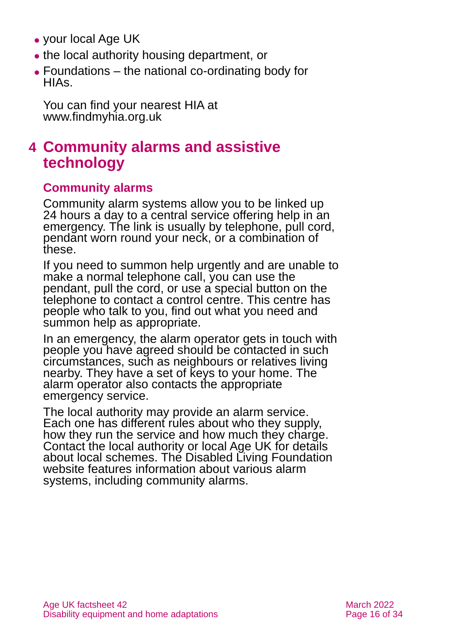- ⚫ [your local Age UK](https://www.ageuk.org.uk/services/in-your-area/)
- ⚫ the local authority housing department, or
- ⚫ [Foundations](https://www.foundations.uk.com/) the national co-ordinating body for HIAs.

You can find your nearest HIA at [www.findmyhia.org.uk](http://www.findmyhia.org.uk/)

## <span id="page-15-0"></span>**4 Community alarms and assistive technology**

## **Community alarms**

Community alarm systems allow you to be linked up 24 hours a day to a central service offering help in an emergency. The link is usually by telephone, pull cord, pendant worn round your neck, or a combination of these.

If you need to summon help urgently and are unable to make a normal telephone call, you can use the pendant, pull the cord, or use a special button on the telephone to contact a control centre. This centre has people who talk to you, find out what you need and summon help as appropriate.

In an emergency, the alarm operator gets in touch with people you have agreed should be contacted in such circumstances, such as neighbours or relatives living nearby. They have a set of keys to your home. The alarm operator also contacts the appropriate emergency service.

The local authority may provide an alarm service. Each one has different rules about who they supply, how they run the service and how much they charge. Contact the local authority or local [Age UK](#page-32-1) for details about local schemes. The [Disabled Living Foundation](https://livingmadeeasy.org.uk/) website features information about various alarm systems, including community alarms.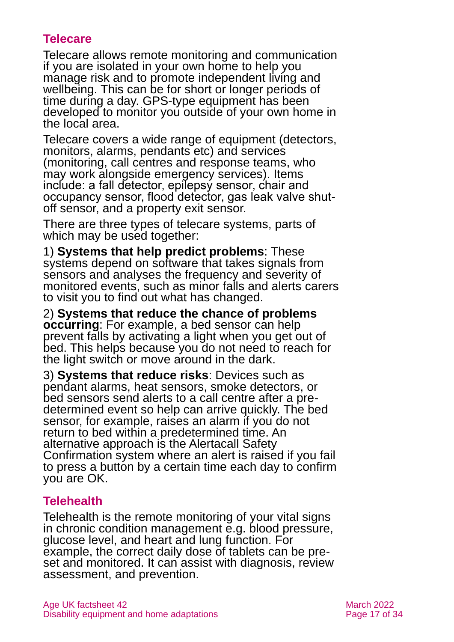## **Telecare**

Telecare allows remote monitoring and communication if you are isolated in your own home to help you manage risk and to promote independent living and wellbeing. This can be for short or longer periods of time during a day. GPS-type equipment has been developed to monitor you outside of your own home in the local area.

Telecare covers a wide range of equipment (detectors, monitors, alarms, pendants etc) and services (monitoring, call centres and response teams, who may work alongside emergency services). Items include: a fall detector, epilepsy sensor, chair and occupancy sensor, flood detector, gas leak valve shutoff sensor, and a property exit sensor.

There are three types of telecare systems, parts of which may be used together:

1) **Systems that help predict problems**: These systems depend on software that takes signals from sensors and analyses the frequency and severity of monitored events, such as minor falls and alerts carers to visit you to find out what has changed.

2) **Systems that reduce the chance of problems occurring**: For example, a bed sensor can help prevent falls by activating a light when you get out of bed. This helps because you do not need to reach for the light switch or move around in the dark.

3) **Systems that reduce risks**: Devices such as pendant alarms, heat sensors, smoke detectors, or bed sensors send alerts to a call centre after a predetermined event so help can arrive quickly. The bed sensor, for example, raises an alarm if you do not return to bed within a predetermined time. An alternative approach is the Alertacall Safety Confirmation system where an alert is raised if you fail to press a button by a certain time each day to confirm you are OK.

## **Telehealth**

Telehealth is the remote monitoring of your vital signs in chronic condition management e.g. blood pressure, glucose level, and heart and lung function. For example, the correct daily dose of tablets can be preset and monitored. It can assist with diagnosis, review assessment, and prevention.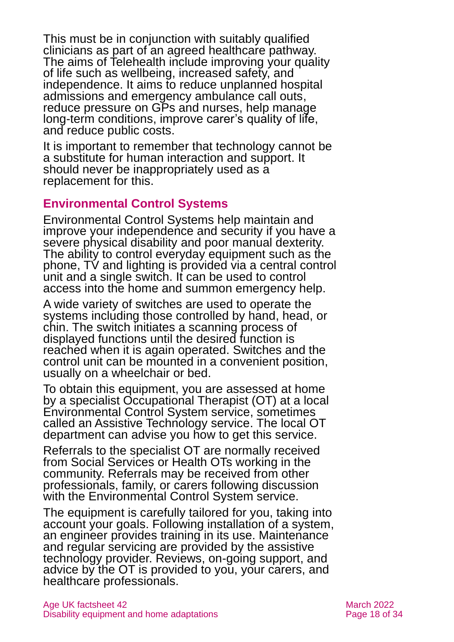This must be in conjunction with suitably qualified clinicians as part of an agreed healthcare pathway. The aims of Telehealth include improving your quality of life such as wellbeing, increased safety, and independence. It aims to reduce unplanned hospital admissions and emergency ambulance call outs, reduce pressure on GPs and nurses, help manage long-term conditions, improve carer's quality of life, and reduce public costs.

It is important to remember that technology cannot be a substitute for human interaction and support. It should never be inappropriately used as a replacement for this.

### **Environmental Control Systems**

Environmental Control Systems help maintain and improve your independence and security if you have a severe physical disability and poor manual dexterity. The ability to control everyday equipment such as the phone, TV and lighting is provided via a central control unit and a single switch. It can be used to control access into the home and summon emergency help.

A wide variety of switches are used to operate the systems including those controlled by hand, head, or chin. The switch initiates a scanning process of displayed functions until the desired function is reached when it is again operated. Switches and the control unit can be mounted in a convenient position, usually on a wheelchair or bed.

To obtain this equipment, you are assessed at home by a specialist Occupational Therapist (OT) at a local Environmental Control System service, sometimes called an Assistive Technology service. The local OT department can advise you how to get this service.

Referrals to the specialist OT are normally received from Social Services or Health OTs working in the community. Referrals may be received from other professionals, family, or carers following discussion with the Environmental Control System service.

The equipment is carefully tailored for you, taking into account your goals. Following installation of a system, an engineer provides training in its use. Maintenance and regular servicing are provided by the assistive technology provider. Reviews, on-going support, and advice by the OT is provided to you, your carers, and healthcare professionals.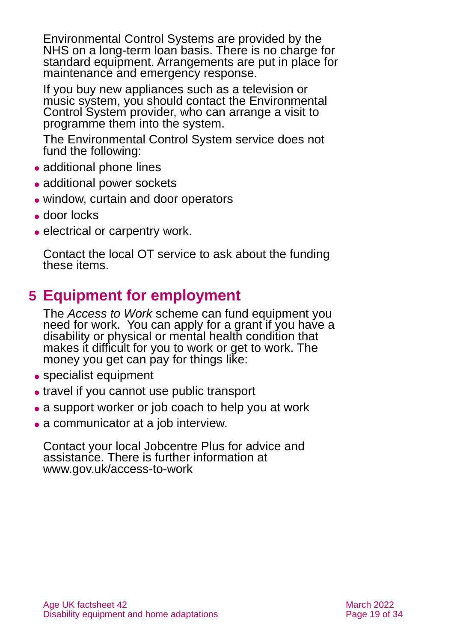Environmental Control Systems are provided by the NHS on a long-term loan basis. There is no charge for standard equipment. Arrangements are put in place for maintenance and emergency response.

If you buy new appliances such as a television or music system, you should contact the Environmental Control System provider, who can arrange a visit to programme them into the system.

The Environmental Control System service does not fund the following:

- additional phone lines
- ⚫ additional power sockets
- ⚫ window, curtain and door operators
- door locks
- electrical or carpentry work.

Contact the local OT service to ask about the funding these items.

## <span id="page-18-0"></span>**5 Equipment for employment**

The *Access to Work* scheme can fund equipment you need for work. You can apply for a grant if you have a disability or physical or mental health condition that makes it difficult for you to work or get to work. The money you get can pay for things like:

- specialist equipment
- ⚫ travel if you cannot use public transport
- a support worker or job coach to help you at work
- a communicator at a job interview.

Contact your local Jobcentre Plus for advice and assistance. There is further information at [www.gov.uk/access-to-work](http://www.gov.uk/access-to-work)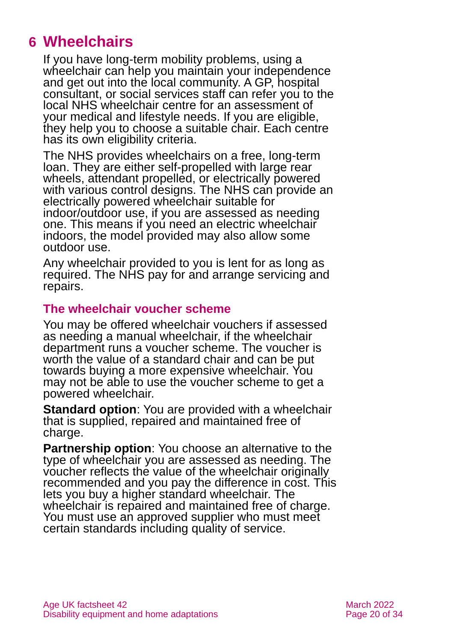## <span id="page-19-0"></span>**6 Wheelchairs**

If you have long-term mobility problems, using a wheelchair can help you maintain your independence and get out into the local community. A GP, hospital consultant, or social services staff can refer you to the local NHS wheelchair centre for an assessment of your medical and lifestyle needs. If you are eligible, they help you to choose a suitable chair. Each centre has its own eligibility criteria.

The NHS provides wheelchairs on a free, long-term loan. They are either self-propelled with large rear wheels, attendant propelled, or electrically powered with various control designs. The NHS can provide an electrically powered wheelchair suitable for indoor/outdoor use, if you are assessed as needing one. This means if you need an electric wheelchair indoors, the model provided may also allow some outdoor use.

Any wheelchair provided to you is lent for as long as required. The NHS pay for and arrange servicing and repairs.

#### **The wheelchair voucher scheme**

You may be offered wheelchair vouchers if assessed as needing a manual wheelchair, if the wheelchair department runs a voucher scheme. The voucher is worth the value of a standard chair and can be put towards buying a more expensive wheelchair. You may not be able to use the voucher scheme to get a powered wheelchair.

**Standard option**: You are provided with a wheelchair that is supplied, repaired and maintained free of charge.

**Partnership option**: You choose an alternative to the type of wheelchair you are assessed as needing. The voucher reflects the value of the wheelchair originally recommended and you pay the difference in cost. This lets you buy a higher standard wheelchair. The wheelchair is repaired and maintained free of charge. You must use an approved supplier who must meet certain standards including quality of service.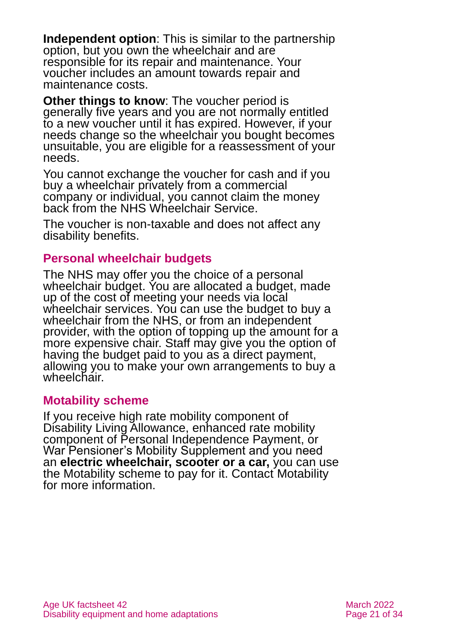**Independent option**: This is similar to the partnership option, but you own the wheelchair and are responsible for its repair and maintenance. Your voucher includes an amount towards repair and maintenance costs.

**Other things to know**: The voucher period is generally five years and you are not normally entitled to a new voucher until it has expired. However, if your needs change so the wheelchair you bought becomes unsuitable, you are eligible for a reassessment of your needs.

You cannot exchange the voucher for cash and if you buy a wheelchair privately from a commercial company or individual, you cannot claim the money back from the NHS Wheelchair Service.

The voucher is non-taxable and does not affect any disability benefits.

#### **Personal wheelchair budgets**

The NHS may offer you the choice of a personal wheelchair budget. You are allocated a budget, made up of the cost of meeting your needs via local wheelchair services. You can use the budget to buy a wheelchair from the NHS, or from an independent provider, with the option of topping up the amount for a more expensive chair. Staff may give you the option of having the budget paid to you as a direct payment, allowing you to make your own arrangements to buy a wheelchair.

#### **Motability scheme**

If you receive high rate mobility component of Disability Living Allowance, enhanced rate mobility component of Personal Independence Payment, or War Pensioner's Mobility Supplement and you need an **electric wheelchair, scooter or a car,** you can use the Motability scheme to pay for it. Contact [Motability](#page-30-0) for more information.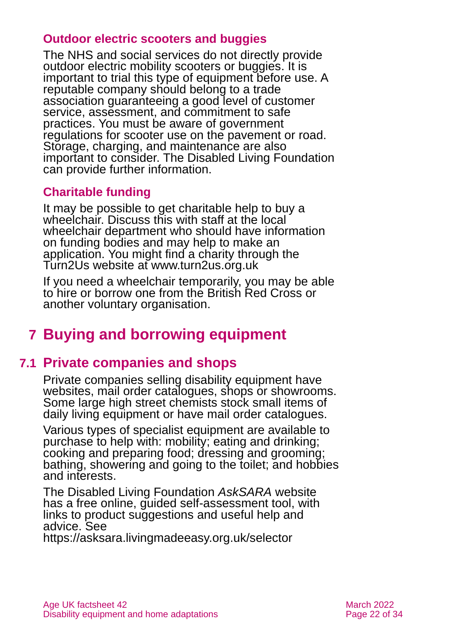### **Outdoor electric scooters and buggies**

The NHS and social services do not directly provide outdoor electric mobility scooters or buggies. It is important to trial this type of equipment before use. A reputable company should belong to a trade association guaranteeing a good level of customer service, assessment, and commitment to safe practices. You must be aware of government regulations for scooter use on the pavement or road. Storage, charging, and maintenance are also important to consider. The [Disabled Living Foundation](http://www.livingmadeeasy.org.uk/) can provide further information.

## **Charitable funding**

It may be possible to get charitable help to buy a wheelchair. Discuss this with staff at the local wheelchair department who should have information on funding bodies and may help to make an application. You might find a charity through the Turn2Us website at [www.turn2us.org.uk](https://www.turn2us.org.uk/)

If you need a wheelchair temporarily, you may be able to hire or borrow one from the [British Red Cross](http://www.redcross.org.uk/) or another voluntary organisation.

## <span id="page-21-0"></span>**7 Buying and borrowing equipment**

## **7.1 Private companies and shops**

Private companies selling disability equipment have websites, mail order catalogues, shops or showrooms. Some large high street chemists stock small items of daily living equipment or have mail order catalogues.

Various types of specialist equipment are available to purchase to help with: mobility; eating and drinking; cooking and preparing food; dressing and grooming; bathing, showering and going to the toilet; and hobbies and interests.

The Disabled Living Foundation *[AskSARA](https://asksara.livingmadeeasy.org.uk/selector)* website has a free online, guided self-assessment tool, with links to product suggestions and useful help and advice. See

<https://asksara.livingmadeeasy.org.uk/selector>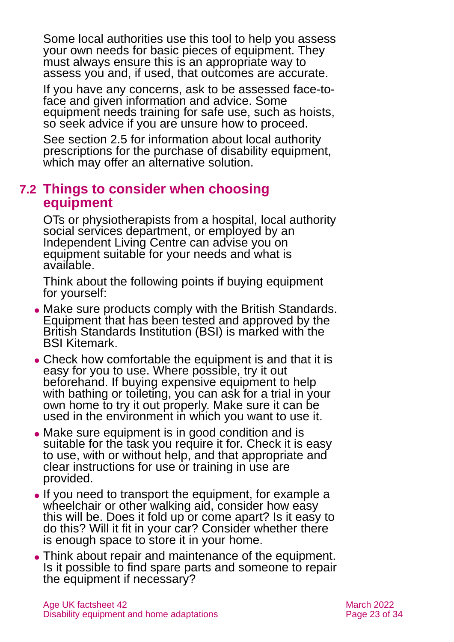Some local authorities use this tool to help you assess your own needs for basic pieces of equipment. They must always ensure this is an appropriate way to assess you and, if used, that outcomes are accurate.

If you have any concerns, ask to be assessed face-toface and given information and advice. Some equipment needs training for safe use, such as hoists, so seek advice if you are unsure how to proceed.

See [section 2.5](#page-7-0) for information about local authority prescriptions for the purchase of disability equipment, which may offer an alternative solution.

## **7.2 Things to consider when choosing equipment**

OTs or physiotherapists from a hospital, local authority social services department, or employed by an Independent Living Centre can advise you on equipment suitable for your needs and what is available.

Think about the following points if buying equipment for yourself:

- Make sure products comply with the British Standards. Equipment that has been tested and approved by the British Standards Institution (BSI) is marked with the BSI Kitemark.
- Check how comfortable the equipment is and that it is easy for you to use. Where possible, try it out beforehand. If buying expensive equipment to help with bathing or toileting, you can ask for a trial in your own home to try it out properly. Make sure it can be used in the environment in which you want to use it.
- Make sure equipment is in good condition and is suitable for the task you require it for. Check it is easy to use, with or without help, and that appropriate and clear instructions for use or training in use are provided.
- ⚫ If you need to transport the equipment, for example a wheelchair or other walking aid, consider how easy this will be. Does it fold up or come apart? Is it easy to do this? Will it fit in your car? Consider whether there is enough space to store it in your home.
- ⚫ Think about repair and maintenance of the equipment. Is it possible to find spare parts and someone to repair the equipment if necessary?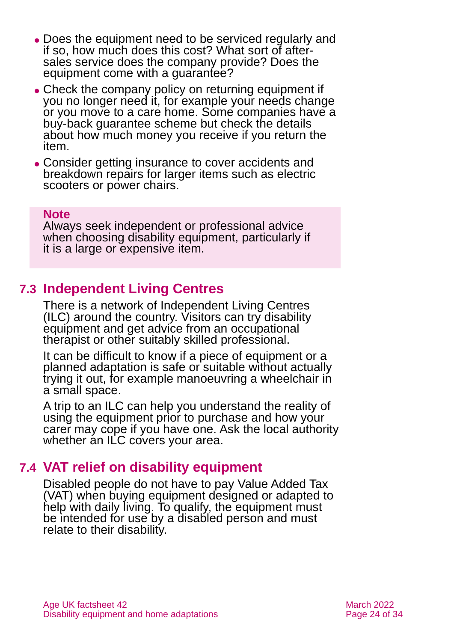- ⚫ Does the equipment need to be serviced regularly and if so, how much does this cost? What sort of aftersales service does the company provide? Does the equipment come with a guarantee?
- Check the company policy on returning equipment if you no longer need it, for example your needs change or you move to a care home. Some companies have a buy-back guarantee scheme but check the details about how much money you receive if you return the item.
- ⚫ Consider getting insurance to cover accidents and breakdown repairs for larger items such as electric scooters or power chairs.

#### **Note**

Always seek independent or professional advice when choosing disability equipment, particularly if it is a large or expensive item.

## **7.3 Independent Living Centres**

There is a network of Independent Living Centres (ILC) around the country. Visitors can try disability equipment and get advice from an occupational therapist or other suitably skilled professional.

It can be difficult to know if a piece of equipment or a planned adaptation is safe or suitable without actually trying it out, for example manoeuvring a wheelchair in a small space.

A trip to an ILC can help you understand the reality of using the equipment prior to purchase and how your carer may cope if you have one. Ask the local authority whether an ILC covers your area.

## **7.4 VAT relief on disability equipment**

Disabled people do not have to pay Value Added Tax (VAT) when buying equipment designed or adapted to help with daily living. To qualify, the equipment must be intended for use by a disabled person and must relate to their disability.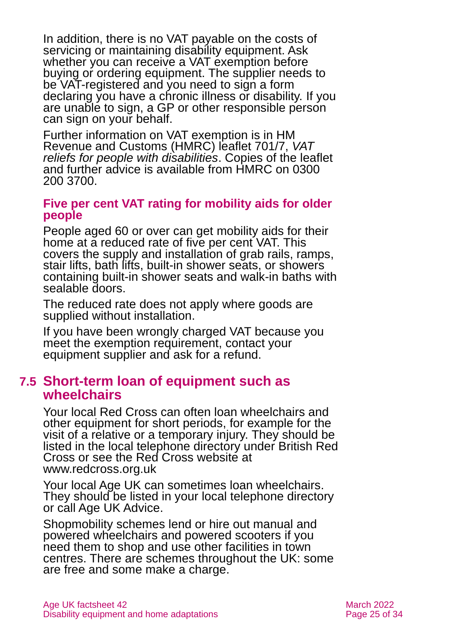In addition, there is no VAT payable on the costs of servicing or maintaining disability equipment. Ask whether you can receive a VAT exemption before buying or ordering equipment. The supplier needs to be VAT-registered and you need to sign a form declaring you have a chronic illness or disability. If you are unable to sign, a GP or other responsible person can sign on your behalf.

Further information on VAT exemption is in HM Revenue and Customs (HMRC) leaflet 701/7, *[VAT](https://www.gov.uk/government/publications/vat-notice-7017-vat-reliefs-for-disabled-people)  [reliefs for people with disabilities](https://www.gov.uk/government/publications/vat-notice-7017-vat-reliefs-for-disabled-people)*. Copies of the leaflet and further advice is available from HMRC on 0300 200 3700.

#### **Five per cent VAT rating for mobility aids for older people**

People aged 60 or over can get mobility aids for their home at a reduced rate of five per cent VAT. This covers the supply and installation of grab rails, ramps, stair lifts, bath lifts, built-in shower seats, or showers containing built-in shower seats and walk-in baths with sealable doors.

The reduced rate does not apply where goods are supplied without installation.

If you have been wrongly charged VAT because you meet the exemption requirement, contact your equipment supplier and ask for a refund.

## **7.5 Short-term loan of equipment such as wheelchairs**

Your local Red Cross can often loan wheelchairs and other equipment for short periods, for example for the visit of a relative or a temporary injury. They should be listed in the local telephone directory under British Red Cross or see the Red Cross website at [www.redcross.org.uk](http://www.redcross.org.uk/)

Your local Age UK can sometimes loan wheelchairs. They should be listed in your local telephone directory or call [Age UK Advice.](#page-32-1)

Shopmobility schemes lend or hire out manual and powered wheelchairs and powered scooters if you need them to shop and use other facilities in town centres. There are schemes throughout the UK: some are free and some make a charge.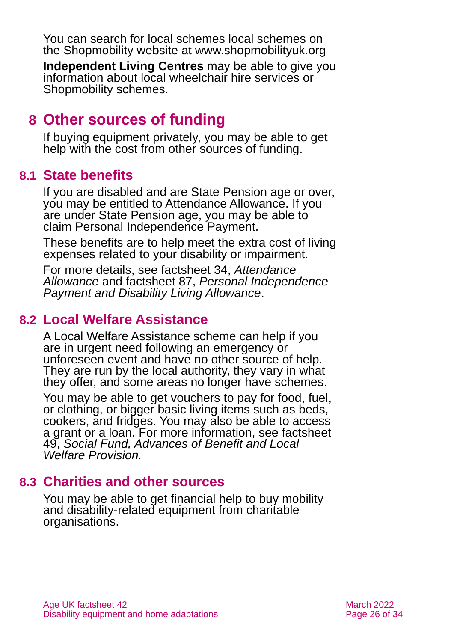You can search for local schemes local schemes on the Shopmobility website at [www.shopmobilityuk.org](http://www.shopmobilityuk.org/)

**Independent Living Centres** may be able to give you information about local wheelchair hire services or Shopmobility schemes.

## <span id="page-25-0"></span>**8 Other sources of funding**

If buying equipment privately, you may be able to get help with the cost from other sources of funding.

## **8.1 State benefits**

If you are disabled and are State Pension age or over, you may be entitled to Attendance Allowance. If you are under State Pension age, you may be able to claim Personal Independence Payment.

These benefits are to help meet the extra cost of living expenses related to your disability or impairment.

For more details, see factsheet 34, *[Attendance](https://www.ageuk.org.uk/globalassets/age-uk/documents/factsheets/fs34_attendance_allowance_fcs.pdf)  [Allowance](https://www.ageuk.org.uk/globalassets/age-uk/documents/factsheets/fs34_attendance_allowance_fcs.pdf)* and factsheet 87, *[Personal Independence](https://www.ageuk.org.uk/globalassets/age-uk/documents/factsheets/fs87_personal_independence_payment_fcs.pdf)  [Payment and Disability Living Allowance](https://www.ageuk.org.uk/globalassets/age-uk/documents/factsheets/fs87_personal_independence_payment_fcs.pdf)*.

## **8.2 Local Welfare Assistance**

A Local Welfare Assistance scheme can help if you are in urgent need following an emergency or unforeseen event and have no other source of help. They are run by the local authority, they vary in what they offer, and some areas no longer have schemes.

You may be able to get vouchers to pay for food, fuel, or clothing, or bigger basic living items such as beds, cookers, and fridges. You may also be able to access a grant or a loan. For more information, see factsheet 49, *[Social Fund, Advances of Benefit and Local](https://www.ageuk.org.uk/globalassets/age-uk/documents/factsheets/fs49_the_social_fund_advances_of_benefit_and_local_welfare_provision_fcs.pdf)  [Welfare Provision.](https://www.ageuk.org.uk/globalassets/age-uk/documents/factsheets/fs49_the_social_fund_advances_of_benefit_and_local_welfare_provision_fcs.pdf)*

## **8.3 Charities and other sources**

You may be able to get financial help to buy mobility and disability-related equipment from charitable organisations.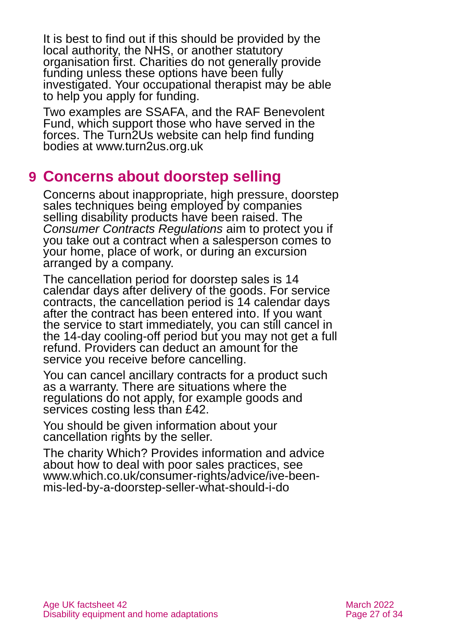It is best to find out if this should be provided by the local authority, the NHS, or another statutory organisation first. Charities do not generally provide funding unless these options have been fully investigated. Your occupational therapist may be able to help you apply for funding.

Two examples are [SSAFA,](https://www.ssafa.org.uk/) and the [RAF Benevolent](https://www.rafbf.org/)  [Fund,](https://www.rafbf.org/) which support those who have served in the forces. The Turn2Us website can help find funding bodies at [www.turn2us.org.uk](https://www.turn2us.org.uk/)

## <span id="page-26-0"></span>**9 Concerns about doorstep selling**

Concerns about inappropriate, high pressure, doorstep sales techniques being employed by companies selling disability products have been raised. The *[Consumer Contracts Regulations](http://www.which.co.uk/consumer-rights/regulation/consumer-contracts-regulations)* aim to protect you if you take out a contract when a salesperson comes to your home, place of work, or during an excursion arranged by a company.

The cancellation period for doorstep sales is 14 calendar days after delivery of the goods. For service contracts, the cancellation period is 14 calendar days after the contract has been entered into. If you want the service to start immediately, you can still cancel in the 14-day cooling-off period but you may not get a full refund. Providers can deduct an amount for the service you receive before cancelling.

You can cancel ancillary contracts for a product such as a warranty. There are situations where the regulations do not apply, for example goods and services costing less than £42.

You should be given information about your cancellation rights by the seller.

The charity Which? Provides information and advice about how to deal with poor sales practices, see [www.which.co.uk/consumer-rights/advice/ive-been](http://www.which.co.uk/consumer-rights/advice/ive-been-mis-led-by-a-doorstep-seller-what-should-i-do)[mis-led-by-a-doorstep-seller-what-should-i-do](http://www.which.co.uk/consumer-rights/advice/ive-been-mis-led-by-a-doorstep-seller-what-should-i-do)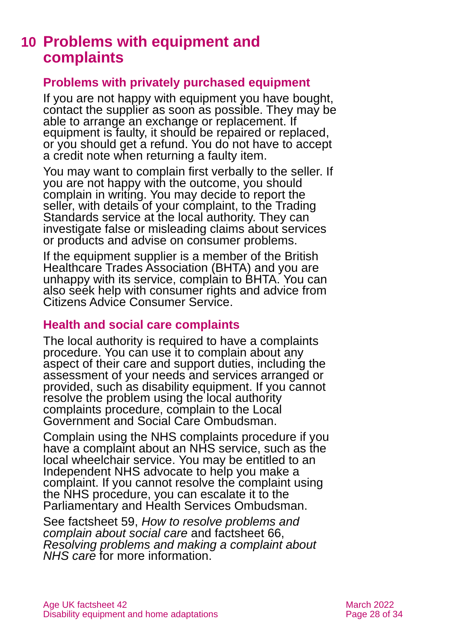## <span id="page-27-0"></span>**10 Problems with equipment and complaints**

#### **Problems with privately purchased equipment**

If you are not happy with equipment you have bought, contact the supplier as soon as possible. They may be able to arrange an exchange or replacement. If equipment is faulty, it should be repaired or replaced, or you should get a refund. You do not have to accept a credit note when returning a faulty item.

You may want to complain first verbally to the seller. If you are not happy with the outcome, you should complain in writing. You may decide to report the seller, with details of your complaint, to the Trading Standards service at the local authority. They can investigate false or misleading claims about services or products and advise on consumer problems.

If the equipment supplier is a member of the [British](#page-29-0)  [Healthcare Trades Association \(BHTA\)](#page-29-0) and you are unhappy with its service, complain to BHTA. You can also seek help with consumer rights and advice from [Citizens Advice Consumer Service.](#page-29-1)

#### **Health and social care complaints**

The local authority is required to have a complaints procedure. You can use it to complain about any aspect of their care and support duties, including the assessment of your needs and services arranged or provided, such as disability equipment. If you cannot resolve the problem using the local authority complaints procedure, complain to the [Local](#page-29-2)  [Government and Social Care Ombudsman.](#page-29-2)

Complain using the NHS complaints procedure if you have a complaint about an NHS service, such as the local wheelchair service. You may be entitled to an Independent NHS advocate to help you make a complaint. If you cannot resolve the complaint using the NHS procedure, you can escalate it to the Parliamentary and [Health Services Ombudsman.](#page-30-1)

See factsheet 59, *[How to resolve problems and](https://www.ageuk.org.uk/globalassets/age-uk/documents/factsheets/fs59_how_to_resolve_problems_and_complain_about_social_care_fcs.pdf)  [complain about social care](https://www.ageuk.org.uk/globalassets/age-uk/documents/factsheets/fs59_how_to_resolve_problems_and_complain_about_social_care_fcs.pdf)* and factsheet 66, *[Resolving problems and making a complaint about](https://www.ageuk.org.uk/globalassets/age-uk/documents/factsheets/fs66_resolving_problems_and_making_a_complaint_about_nhs_care_fcs.pdf)  [NHS care](https://www.ageuk.org.uk/globalassets/age-uk/documents/factsheets/fs66_resolving_problems_and_making_a_complaint_about_nhs_care_fcs.pdf)* for more information.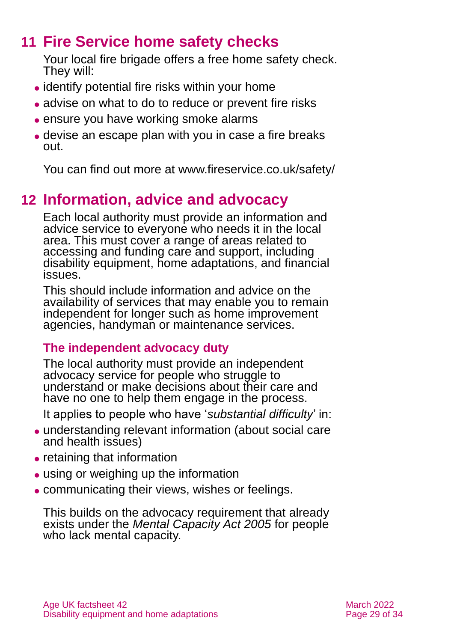## **11 Fire Service home safety checks**

<span id="page-28-0"></span>Your local fire brigade offers a free home safety check. They will:

- ⚫ identify potential fire risks within your home
- advise on what to do to reduce or prevent fire risks
- ⚫ ensure you have working smoke alarms
- ⚫ devise an escape plan with you in case a fire breaks out.

<span id="page-28-1"></span>You can find out more at [www.fireservice.co.uk/safety/](http://www.fireservice.co.uk/safety/)

## **12 Information, advice and advocacy**

Each local authority must provide an information and advice service to everyone who needs it in the local area. This must cover a range of areas related to accessing and funding care and support, including disability equipment, home adaptations, and financial issues.

This should include information and advice on the availability of services that may enable you to remain independent for longer such as home improvement agencies, handyman or maintenance services.

## **The independent advocacy duty**

The local authority must provide an independent advocacy service for people who struggle to understand or make decisions about their care and have no one to help them engage in the process.

It applies to people who have '*substantial difficulty*' in:

- ⚫ understanding relevant information (about social care and health issues)
- retaining that information
- ⚫ using or weighing up the information
- ⚫ communicating their views, wishes or feelings.

This builds on the advocacy requirement that already exists under the *Mental Capacity Act 2005* for people who lack mental capacity.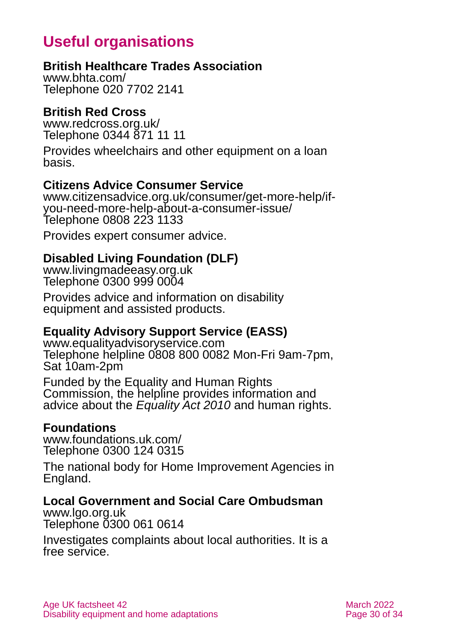## **Useful organisations**

## <span id="page-29-0"></span>**British Healthcare Trades Association**

[www.bhta.com/](http://www.bhta.com/) Telephone 020 7702 2141

### **British Red Cross**

[www.redcross.org.uk/](http://www.redcross.org.uk/) Telephone 0344 871 11 11

Provides wheelchairs and other equipment on a loan basis.

### <span id="page-29-1"></span>**Citizens Advice Consumer Service**

[www.citizensadvice.org.uk/consumer/get-more-help/if](http://www.citizensadvice.org.uk/consumer/get-more-help/if-you-need-more-help-about-a-consumer-issue/)[you-need-more-help-about-a-consumer-issue/](http://www.citizensadvice.org.uk/consumer/get-more-help/if-you-need-more-help-about-a-consumer-issue/) Telephone 0808 223 1133

Provides expert consumer advice.

## **Disabled Living Foundation (DLF)**

[www.livingmadeeasy.org.uk](http://www.livingmadeeasy.org.uk/) Telephone 0300 999 0004

Provides advice and information on disability equipment and assisted products.

### **Equality Advisory Support Service (EASS)**

[www.equalityadvisoryservice.com](http://www.equalityadvisoryservice.com/) Telephone helpline 0808 800 0082 Mon-Fri 9am-7pm, Sat 10am-2pm

Funded by the Equality and Human Rights Commission, the helpline provides information and advice about the *Equality Act 2010* and human rights.

#### **Foundations**

[www.foundations.uk.com/](http://www.foundations.uk.com/) Telephone 0300 124 0315

The national body for Home Improvement Agencies in England.

### <span id="page-29-2"></span>**Local Government and Social Care Ombudsman**

[www.lgo.org.uk](http://www.lgo.org.uk/) Telephone 0300 061 0614

Investigates complaints about local authorities. It is a free service.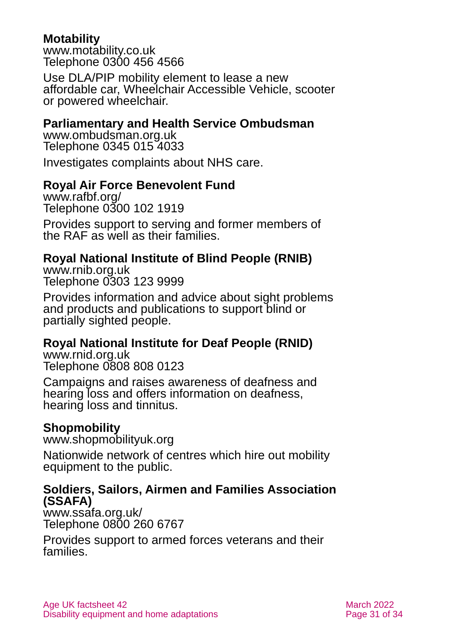### <span id="page-30-0"></span>**Motability**

[www.motability.co.uk](http://www.motability.co.uk/) Telephone 0300 456 4566

Use DLA/PIP mobility element to lease a new affordable car, Wheelchair Accessible Vehicle, scooter or powered wheelchair.

### <span id="page-30-1"></span>**Parliamentary and Health Service Ombudsman**

[www.ombudsman.org.uk](http://www.ombudsman.org.uk/) Telephone 0345 015 4033

Investigates complaints about NHS care.

## **Royal Air Force Benevolent Fund**

[www.rafbf.org/](http://www.rafbf.org/) Telephone 0300 102 1919

Provides support to serving and former members of the RAF as well as their families.

### **Royal National Institute of Blind People (RNIB)**

[www.rnib.org.uk](http://www.rnib.org.uk/) Telephone 0303 123 9999

Provides information and advice about sight problems and products and publications to support blind or partially sighted people.

## **Royal National Institute for Deaf People (RNID)**

[www.rnid.org.uk](http://www.rnid.org.uk/) Telephone 0808 808 0123

Campaigns and raises awareness of deafness and hearing loss and offers information on deafness, hearing loss and tinnitus.

### **Shopmobility**

[www.shopmobilityuk.org](http://www.shopmobilityuk.org/)

Nationwide network of centres which hire out mobility equipment to the public.

#### **Soldiers, Sailors, Airmen and Families Association (SSAFA)**

[www.ssafa.org.uk/](http://www.ssafa.org.uk/) Telephone 0800 260 6767

Provides support to armed forces veterans and their families.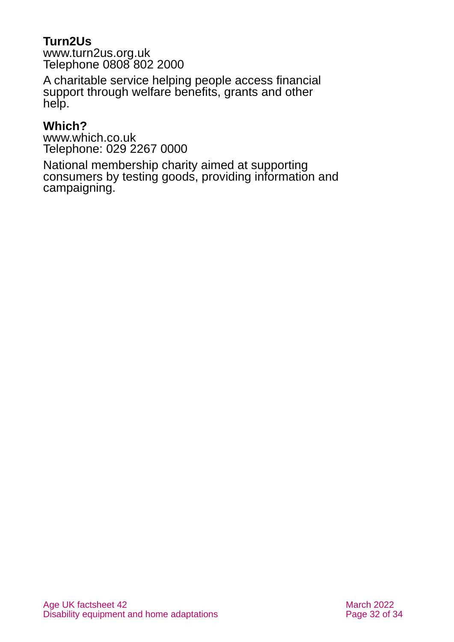## **Turn2Us**

[www.turn2us.org.uk](http://www.turn2us.org.uk/) Telephone 0808 802 2000

A charitable service helping people access financial support through welfare benefits, grants and other help.

## **Which?**

[www.which.co.uk](http://www.which.co.uk/) Telephone: [029](tel:01992%20822%20800) 2267 0000

National membership charity aimed at supporting consumers by testing goods, providing information and campaigning.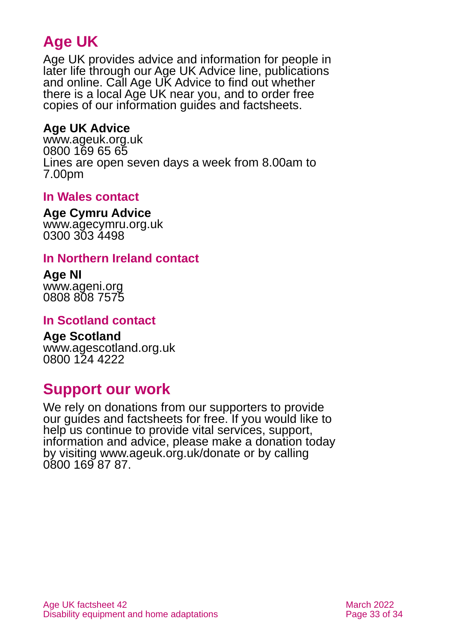## **Age UK**

Age UK provides advice and information for people in later life through our Age UK Advice line, publications and online. Call Age UK Advice to find out whether there is a local Age UK near you, and to order free copies of our information guides and factsheets.

## <span id="page-32-1"></span>**Age UK Advice**

[www.ageuk.org.uk](http://www.ageuk.org.uk/) 0800 169 65 65 Lines are open seven days a week from 8.00am to 7.00pm

### <span id="page-32-0"></span>**In Wales contact**

#### **Age Cymru Advice**

[www.agecymru.org.uk](http://www.agecymru.org.uk/) 0300 303 4498

#### **In Northern Ireland contact**

#### **Age NI** [www.ageni.org](http://www.ageni.org/)

0808 808 7575

#### **In Scotland contact**

## <span id="page-32-2"></span>**Age Scotland**

[www.agescotland.org.uk](http://www.agescotland.org.uk/) 0800 124 4222

## **Support our work**

We rely on donations from our supporters to provide our guides and factsheets for free. If you would like to help us continue to provide vital services, support, information and advice, please make a donation today by visiting [www.ageuk.org.uk/donate](http://www.ageuk.org.uk/donate) or by calling 0800 169 87 87.